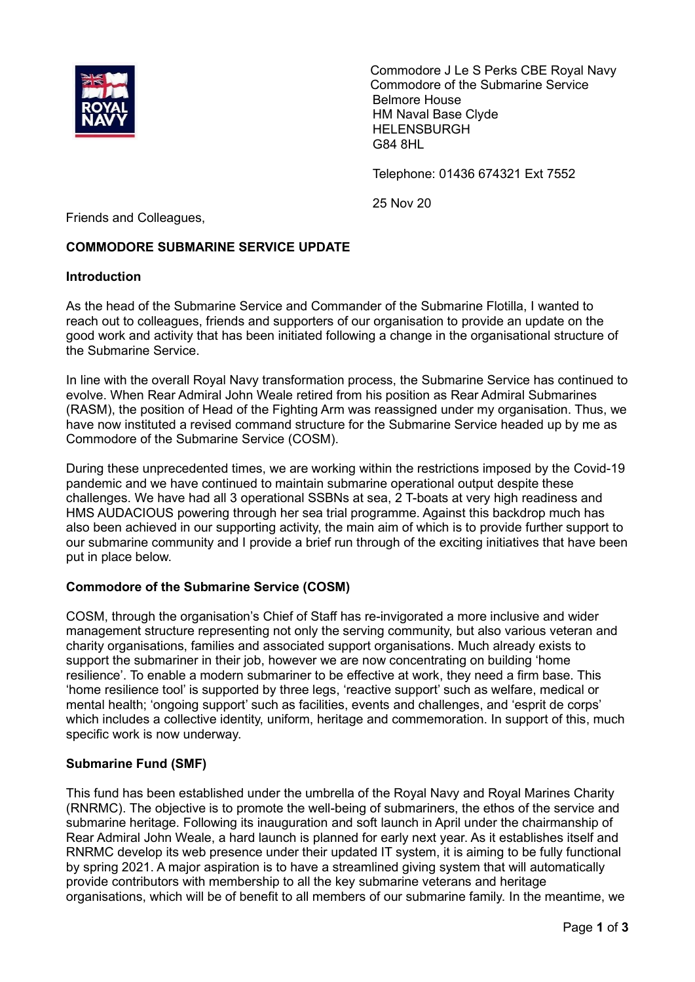

Commodore J Le S Perks CBE Royal Navy Commodore of the Submarine Service Belmore House HM Naval Base Clyde HELENSBURGH G84 8HL

Telephone: 01436 674321 Ext 7552

25 Nov 20

Friends and Colleagues,

# **COMMODORE SUBMARINE SERVICE UPDATE**

#### **Introduction**

As the head of the Submarine Service and Commander of the Submarine Flotilla, I wanted to reach out to colleagues, friends and supporters of our organisation to provide an update on the good work and activity that has been initiated following a change in the organisational structure of the Submarine Service.

In line with the overall Royal Navy transformation process, the Submarine Service has continued to evolve. When Rear Admiral John Weale retired from his position as Rear Admiral Submarines (RASM), the position of Head of the Fighting Arm was reassigned under my organisation. Thus, we have now instituted a revised command structure for the Submarine Service headed up by me as Commodore of the Submarine Service (COSM).

During these unprecedented times, we are working within the restrictions imposed by the Covid-19 pandemic and we have continued to maintain submarine operational output despite these challenges. We have had all 3 operational SSBNs at sea, 2 T-boats at very high readiness and HMS AUDACIOUS powering through her sea trial programme. Against this backdrop much has also been achieved in our supporting activity, the main aim of which is to provide further support to our submarine community and I provide a brief run through of the exciting initiatives that have been put in place below.

## **Commodore of the Submarine Service (COSM)**

COSM, through the organisation's Chief of Staff has re-invigorated a more inclusive and wider management structure representing not only the serving community, but also various veteran and charity organisations, families and associated support organisations. Much already exists to support the submariner in their job, however we are now concentrating on building 'home resilience'. To enable a modern submariner to be effective at work, they need a firm base. This 'home resilience tool' is supported by three legs, 'reactive support' such as welfare, medical or mental health; 'ongoing support' such as facilities, events and challenges, and 'esprit de corps' which includes a collective identity, uniform, heritage and commemoration. In support of this, much specific work is now underway.

## **Submarine Fund (SMF)**

This fund has been established under the umbrella of the Royal Navy and Royal Marines Charity (RNRMC). The objective is to promote the well-being of submariners, the ethos of the service and submarine heritage. Following its inauguration and soft launch in April under the chairmanship of Rear Admiral John Weale, a hard launch is planned for early next year. As it establishes itself and RNRMC develop its web presence under their updated IT system, it is aiming to be fully functional by spring 2021. A major aspiration is to have a streamlined giving system that will automatically provide contributors with membership to all the key submarine veterans and heritage organisations, which will be of benefit to all members of our submarine family. In the meantime, we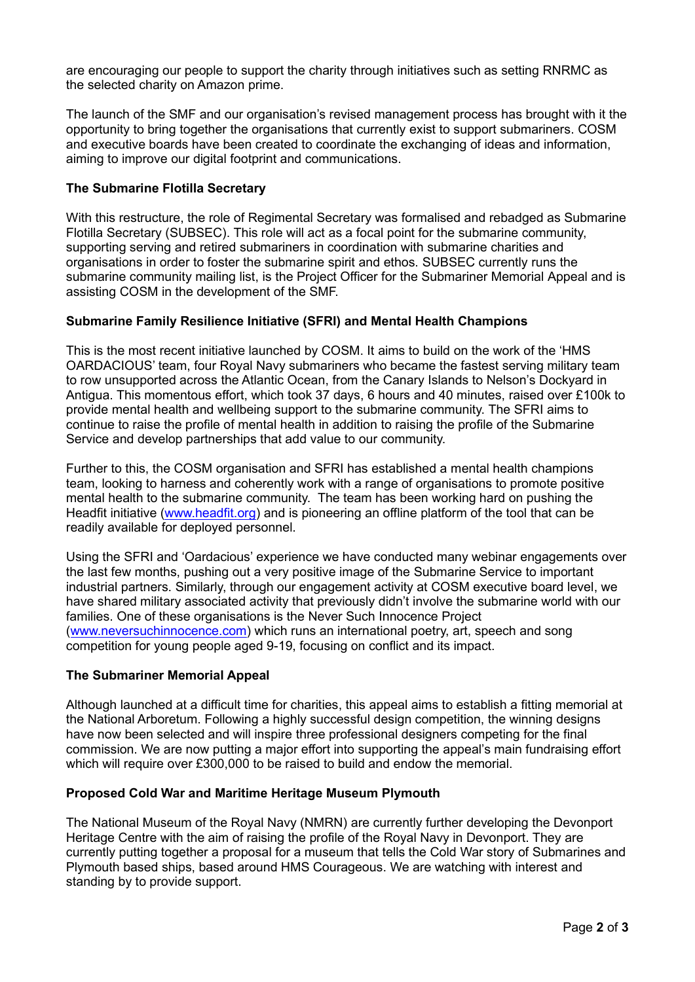are encouraging our people to support the charity through initiatives such as setting RNRMC as the selected charity on Amazon prime.

The launch of the SMF and our organisation's revised management process has brought with it the opportunity to bring together the organisations that currently exist to support submariners. COSM and executive boards have been created to coordinate the exchanging of ideas and information, aiming to improve our digital footprint and communications.

## **The Submarine Flotilla Secretary**

With this restructure, the role of Regimental Secretary was formalised and rebadged as Submarine Flotilla Secretary (SUBSEC). This role will act as a focal point for the submarine community, supporting serving and retired submariners in coordination with submarine charities and organisations in order to foster the submarine spirit and ethos. SUBSEC currently runs the submarine community mailing list, is the Project Officer for the Submariner Memorial Appeal and is assisting COSM in the development of the SMF.

## **Submarine Family Resilience Initiative (SFRI) and Mental Health Champions**

This is the most recent initiative launched by COSM. It aims to build on the work of the 'HMS OARDACIOUS' team, four Royal Navy submariners who became the fastest serving military team to row unsupported across the Atlantic Ocean, from the Canary Islands to Nelson's Dockyard in Antigua. This momentous effort, which took 37 days, 6 hours and 40 minutes, raised over £100k to provide mental health and wellbeing support to the submarine community. The SFRI aims to continue to raise the profile of mental health in addition to raising the profile of the Submarine Service and develop partnerships that add value to our community.

Further to this, the COSM organisation and SFRI has established a mental health champions team, looking to harness and coherently work with a range of organisations to promote positive mental health to the submarine community. The team has been working hard on pushing the Headfit initiative [\(www.headfit.org\)](http://www.headfit.org/) and is pioneering an offline platform of the tool that can be readily available for deployed personnel.

Using the SFRI and 'Oardacious' experience we have conducted many webinar engagements over the last few months, pushing out a very positive image of the Submarine Service to important industrial partners. Similarly, through our engagement activity at COSM executive board level, we have shared military associated activity that previously didn't involve the submarine world with our families. One of these organisations is the Never Such Innocence Project [\(www.neversuchinnocence.com\)](http://www.neversuchinnocence.com/) which runs an international poetry, art, speech and song competition for young people aged 9-19, focusing on conflict and its impact.

## **The Submariner Memorial Appeal**

Although launched at a difficult time for charities, this appeal aims to establish a fitting memorial at the National Arboretum. Following a highly successful design competition, the winning designs have now been selected and will inspire three professional designers competing for the final commission. We are now putting a major effort into supporting the appeal's main fundraising effort which will require over £300,000 to be raised to build and endow the memorial.

## **Proposed Cold War and Maritime Heritage Museum Plymouth**

The National Museum of the Royal Navy (NMRN) are currently further developing the Devonport Heritage Centre with the aim of raising the profile of the Royal Navy in Devonport. They are currently putting together a proposal for a museum that tells the Cold War story of Submarines and Plymouth based ships, based around HMS Courageous. We are watching with interest and standing by to provide support.